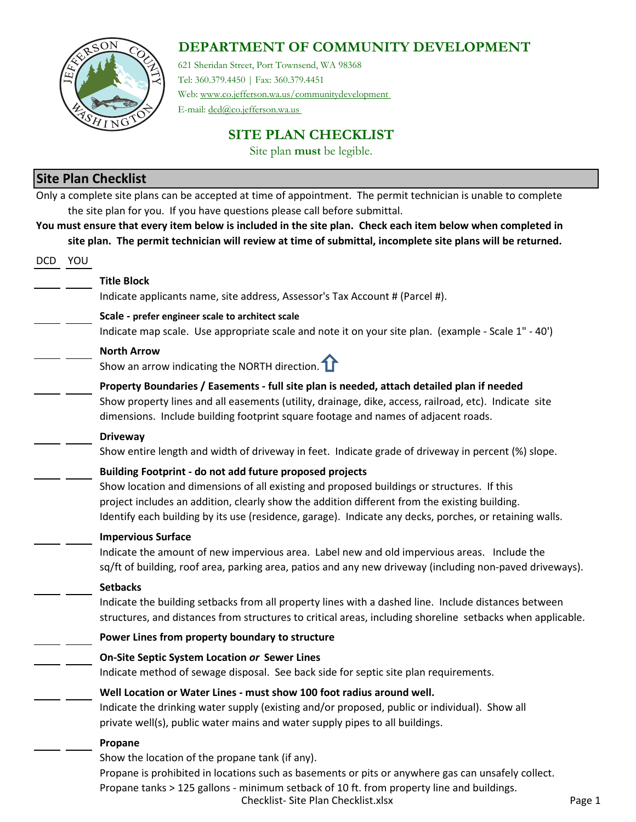## **DEPARTMENT OF COMMUNITY DEVELOPMENT**



621 Sheridan Street, Port Townsend, WA 98368 Tel: 360.379.4450 | Fax: 360.379.4451 Web: www.co.jefferson.wa.us/communitydevelopment

E-mail: dcd@co.jefferson.wa.us

**SITE PLAN CHECKLIST**

Site plan **must** be legible.

## **Site Plan Checklist**

|         | Site Pidii Checkiist                                                                                           |
|---------|----------------------------------------------------------------------------------------------------------------|
|         | Only a complete site plans can be accepted at time of appointment. The permit technician is unable to complete |
|         | the site plan for you. If you have questions please call before submittal.                                     |
|         | You must ensure that every item below is included in the site plan. Check each item below when completed in    |
|         | site plan. The permit technician will review at time of submittal, incomplete site plans will be returned.     |
| DCD YOU |                                                                                                                |
|         | <b>Title Block</b>                                                                                             |
|         | Indicate applicants name, site address, Assessor's Tax Account # (Parcel #).                                   |
|         | Scale - prefer engineer scale to architect scale                                                               |
|         | Indicate map scale. Use appropriate scale and note it on your site plan. (example - Scale 1" - 40')            |
|         | <b>North Arrow</b>                                                                                             |
|         | Show an arrow indicating the NORTH direction. $\mathbf{\hat{I}}$                                               |
|         | Property Boundaries / Easements - full site plan is needed, attach detailed plan if needed                     |
|         | Show property lines and all easements (utility, drainage, dike, access, railroad, etc). Indicate site          |
|         | dimensions. Include building footprint square footage and names of adjacent roads.                             |
|         | <b>Driveway</b>                                                                                                |
|         | Show entire length and width of driveway in feet. Indicate grade of driveway in percent (%) slope.             |
|         | Building Footprint - do not add future proposed projects                                                       |
|         | Show location and dimensions of all existing and proposed buildings or structures. If this                     |
|         | project includes an addition, clearly show the addition different from the existing building.                  |
|         | Identify each building by its use (residence, garage). Indicate any decks, porches, or retaining walls.        |
|         | <b>Impervious Surface</b>                                                                                      |
|         | Indicate the amount of new impervious area. Label new and old impervious areas. Include the                    |
|         | sq/ft of building, roof area, parking area, patios and any new driveway (including non-paved driveways).       |
|         | <b>Setbacks</b>                                                                                                |
|         | Indicate the building setbacks from all property lines with a dashed line. Include distances between           |
|         | structures, and distances from structures to critical areas, including shoreline setbacks when applicable.     |
|         | Power Lines from property boundary to structure                                                                |
|         | On-Site Septic System Location or Sewer Lines                                                                  |
|         | Indicate method of sewage disposal. See back side for septic site plan requirements.                           |
|         | Well Location or Water Lines - must show 100 foot radius around well.                                          |
|         | Indicate the drinking water supply (existing and/or proposed, public or individual). Show all                  |
|         | private well(s), public water mains and water supply pipes to all buildings.                                   |
|         | Propane                                                                                                        |
|         | Show the location of the propane tank (if any).                                                                |
|         | Propane is prohibited in locations such as basements or pits or anywhere gas can unsafely collect.             |
|         | Propane tanks > 125 gallons - minimum setback of 10 ft. from property line and buildings.                      |